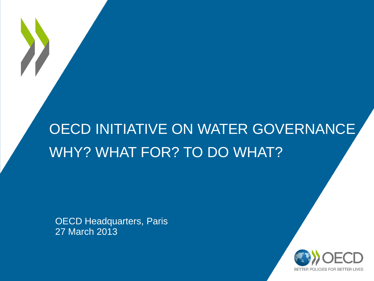# OECD INITIATIVE ON WATER GOVERNANCE WHY? WHAT FOR? TO DO WHAT?

OECD Headquarters, Paris 27 March 2013

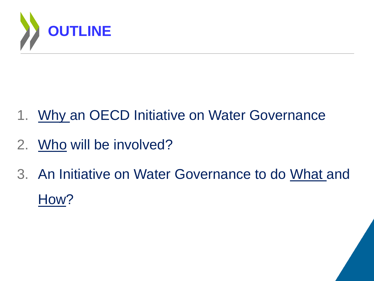

- 1. Why an OECD Initiative on Water Governance
- 2. Who will be involved?
- 3. An Initiative on Water Governance to do What and How?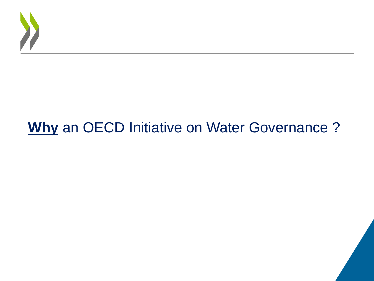

# **Why** an OECD Initiative on Water Governance ?

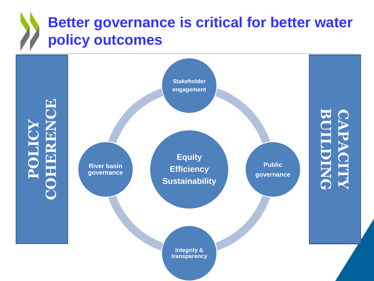# **Better governance is critical for better water policy outcomes**

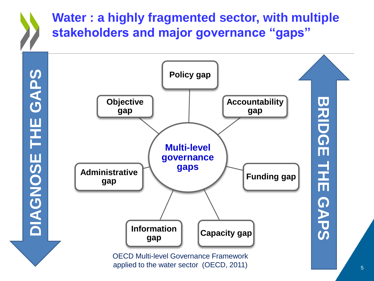### **Water : a highly fragmented sector, with multiple stakeholders and major governance "gaps"**





applied to the water sector (OECD, 2011)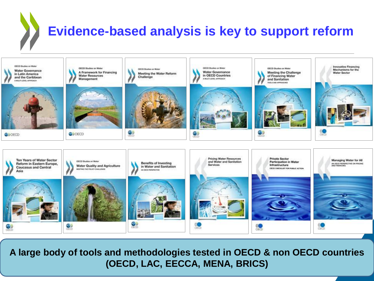# **Evidence-based analysis is key to support reform**



**A large body of tools and methodologies tested in OECD & non OECD countries (OECD, LAC, EECCA, MENA, BRICS)**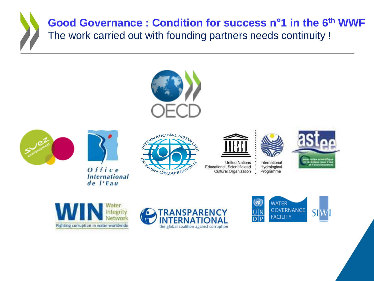### **Good Governance : Condition for success n°1 in the 6th WWF** The work carried out with founding partners needs continuity !







 $Office$ **International** de l'Eau





**United Nations** Educational, Scientific and Cultural Organization











Programme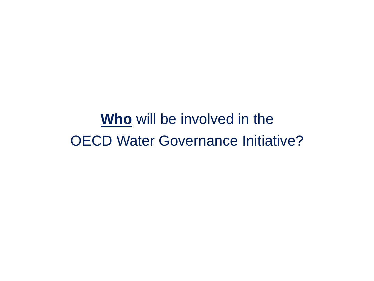**Who** will be involved in the OECD Water Governance Initiative?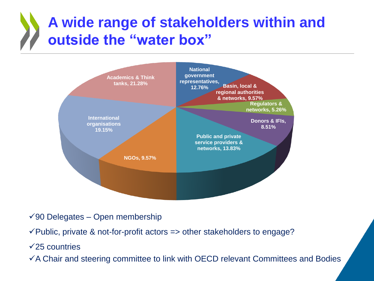# **A wide range of stakeholders within and outside the "water box"**



- $\sqrt{90}$  Delegates Open membership
- $\checkmark$  Public, private & not-for-profit actors => other stakeholders to engage?
- $\sqrt{25}$  countries
- $\checkmark$  A Chair and steering committee to link with OECD relevant Committees and Bodies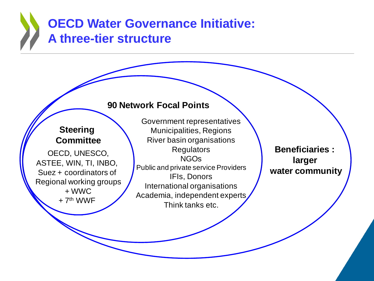### **OECD Water Governance Initiative: A three-tier structure**

#### **90 Network Focal Points**

#### **Steering Committee**

OECD, UNESCO, ASTEE, WIN, TI, INBO, Suez + coordinators of Regional working groups + WWC  $+7<sup>th</sup>$  WWF

Government representatives Municipalities, Regions River basin organisations **Regulators** NGOs Public and private service Providers IFIs, Donors International organisations Academia, independent experts Think tanks etc.

**Beneficiaries : larger water community**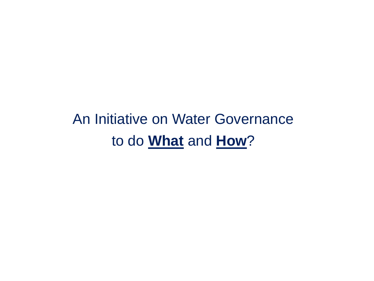An Initiative on Water Governance to do **What** and **How**?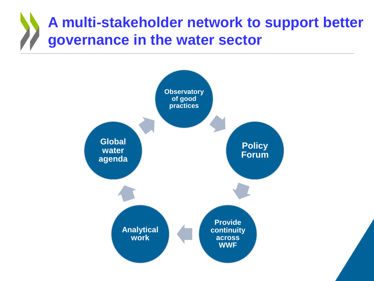# **A multi-stakeholder network to support better governance in the water sector**

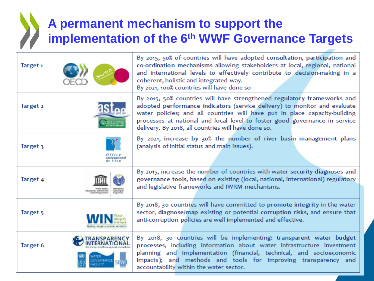### **A permanent mechanism to support the implementation of the 6th WWF Governance Targets**

| Target <sub>1</sub> |                         | By 2015, 50% of countries will have adopted consultation, participation and<br>co-ordination mechanisms allowing stakeholders at local, regional, national<br>and international levels to effectively contribute to decision-making in a<br>coherent, holistic and integrated way.<br>By 2021, 100% countries will have done so                                         |
|---------------------|-------------------------|-------------------------------------------------------------------------------------------------------------------------------------------------------------------------------------------------------------------------------------------------------------------------------------------------------------------------------------------------------------------------|
| Target 2            |                         | By 2015, 50% countries will have strengthened regulatory frameworks and<br>adopted performance indicators (service delivery) to monitor and evaluate<br>water policies; and all countries will have put in place capacity-building<br>processes at national and local level to foster good governance in service<br>delivery. By 2018, all countries will have done so. |
| Target 3            | Intermation<br>$I'$ Fau | By 2021, increase by 30% the number of river basin management plans<br>(analysis of initial status and main issues).                                                                                                                                                                                                                                                    |
| Target 4            |                         | By 2015, increase the number of countries with water security diagnoses and<br>governance tools, based on existing (local, national, international) regulatory<br>and legislative frameworks and IWRM mechanisms.                                                                                                                                                       |
| Target 5            |                         | By 2018, 30 countries will have committed to promote integrity in the water<br>sector, diagnose/map existing or potential corruption risks, and ensure that<br>anti-corruption policies are well implemented and effective.                                                                                                                                             |
| Target 6            |                         | By 2018, 30 countries will be implementing: transparent water budget<br>processes, including information about water infrastructure investment<br>planning and implementation (financial, technical, and socioeconomic<br>impacts); and methods and tools for improving transparency and<br>accountability within the water sector.                                     |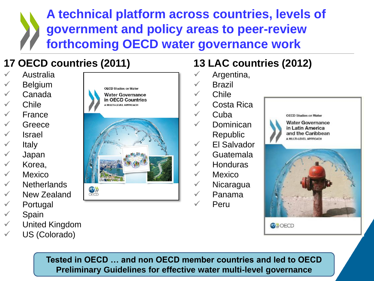**A technical platform across countries, levels of government and policy areas to peer-review forthcoming OECD water governance work** 

### **17 OECD countries (2011)**

- Australia
- Belgium
- Canada
- $\checkmark$  Chile
- $\sqrt{ }$  France
- **Greece**
- $\sqrt{\phantom{a}}$  Israel
- $\checkmark$  Italy
- Japan
- $\times$  Korea.
- $\sqrt{ }$  Mexico
- $\checkmark$  Netherlands
- $\checkmark$  New Zealand
- $\checkmark$  Portugal
- $\checkmark$  Spain
- $\checkmark$  United Kingdom
- US (Colorado)





### **13 LAC countries (2012)**

- Argentina,
- Brazil
- $\checkmark$  Chile
- Costa Rica
- $\sqrt{ }$  Cuba
	- Dominican Republic
- $\checkmark$  El Salvador
	- Guatemala
- **Honduras**
- $\sqrt{ }$  Mexico
- $\checkmark$  Nicaragua
	- Panama
	- Peru



**ON** OECD

**Tested in OECD … and non OECD member countries and led to OECD Preliminary Guidelines for effective water multi-level governance**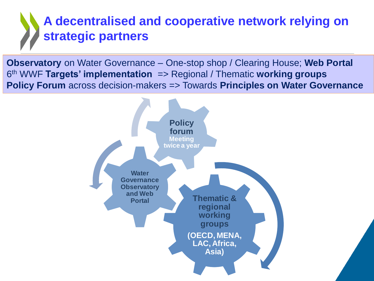### **A decentralised and cooperative network relying on strategic partners**

**Observatory** on Water Governance – One-stop shop / Clearing House; **Web Portal**  6 th WWF **Targets' implementation** => Regional / Thematic **working groups Policy Forum** across decision-makers => Towards **Principles on Water Governance**